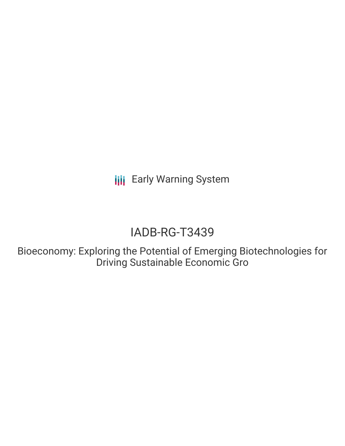**III** Early Warning System

# IADB-RG-T3439

Bioeconomy: Exploring the Potential of Emerging Biotechnologies for Driving Sustainable Economic Gro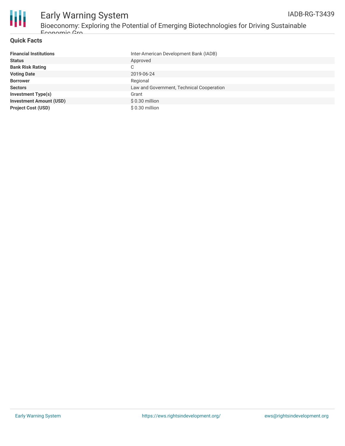



### Early Warning System Bioeconomy: Exploring the Potential of Emerging Biotechnologies for Driving Sustainable Economic Gro

#### **Quick Facts**

| <b>Financial Institutions</b>  | Inter-American Development Bank (IADB)    |
|--------------------------------|-------------------------------------------|
| <b>Status</b>                  | Approved                                  |
| <b>Bank Risk Rating</b>        | С                                         |
| <b>Voting Date</b>             | 2019-06-24                                |
| <b>Borrower</b>                | Regional                                  |
| <b>Sectors</b>                 | Law and Government, Technical Cooperation |
| <b>Investment Type(s)</b>      | Grant                                     |
| <b>Investment Amount (USD)</b> | $$0.30$ million                           |
| <b>Project Cost (USD)</b>      | \$0.30 million                            |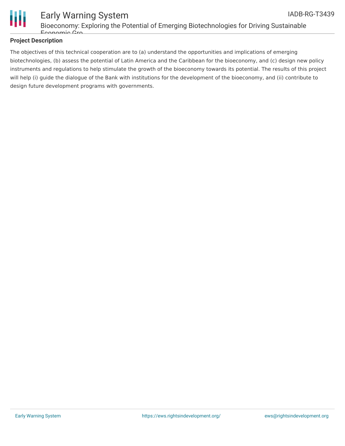

#### **Project Description**

The objectives of this technical cooperation are to (a) understand the opportunities and implications of emerging biotechnologies, (b) assess the potential of Latin America and the Caribbean for the bioeconomy, and (c) design new policy instruments and regulations to help stimulate the growth of the bioeconomy towards its potential. The results of this project will help (i) guide the dialogue of the Bank with institutions for the development of the bioeconomy, and (ii) contribute to design future development programs with governments.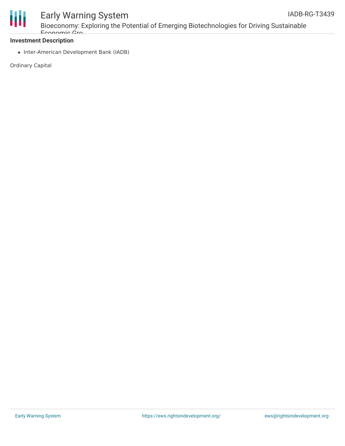

## Early Warning System

Bioeconomy: Exploring the Potential of Emerging Biotechnologies for Driving Sustainable Economic Gro

#### **Investment Description**

• Inter-American Development Bank (IADB)

Ordinary Capital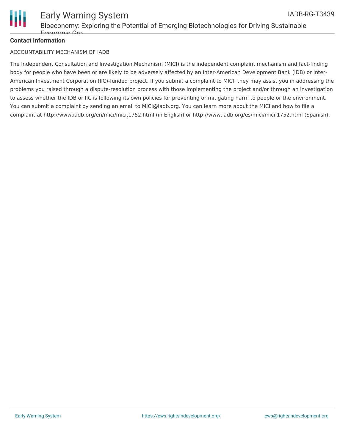

#### **Contact Information**

#### ACCOUNTABILITY MECHANISM OF IADB

The Independent Consultation and Investigation Mechanism (MICI) is the independent complaint mechanism and fact-finding body for people who have been or are likely to be adversely affected by an Inter-American Development Bank (IDB) or Inter-American Investment Corporation (IIC)-funded project. If you submit a complaint to MICI, they may assist you in addressing the problems you raised through a dispute-resolution process with those implementing the project and/or through an investigation to assess whether the IDB or IIC is following its own policies for preventing or mitigating harm to people or the environment. You can submit a complaint by sending an email to MICI@iadb.org. You can learn more about the MICI and how to file a complaint at http://www.iadb.org/en/mici/mici,1752.html (in English) or http://www.iadb.org/es/mici/mici,1752.html (Spanish).